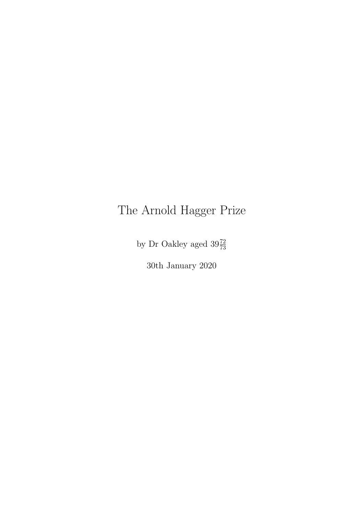# The Arnold Hagger Prize

by Dr Oakley aged  $39\frac{72}{73}$ 

30th January 2020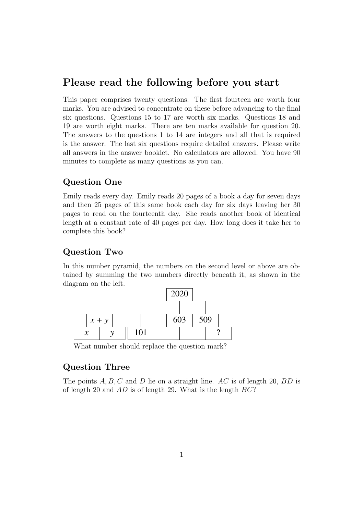# Please read the following before you start

This paper comprises twenty questions. The first fourteen are worth four marks. You are advised to concentrate on these before advancing to the final six questions. Questions 15 to 17 are worth six marks. Questions 18 and 19 are worth eight marks. There are ten marks available for question 20. The answers to the questions 1 to 14 are integers and all that is required is the answer. The last six questions require detailed answers. Please write all answers in the answer booklet. No calculators are allowed. You have 90 minutes to complete as many questions as you can.

## Question One

Emily reads every day. Emily reads 20 pages of a book a day for seven days and then 25 pages of this same book each day for six days leaving her 30 pages to read on the fourteenth day. She reads another book of identical length at a constant rate of 40 pages per day. How long does it take her to complete this book?

## Question Two

In this number pyramid, the numbers on the second level or above are obtained by summing the two numbers directly beneath it, as shown in the diagram on the left.



What number should replace the question mark?

## Question Three

The points  $A, B, C$  and D lie on a straight line. AC is of length 20, BD is of length 20 and AD is of length 29. What is the length BC?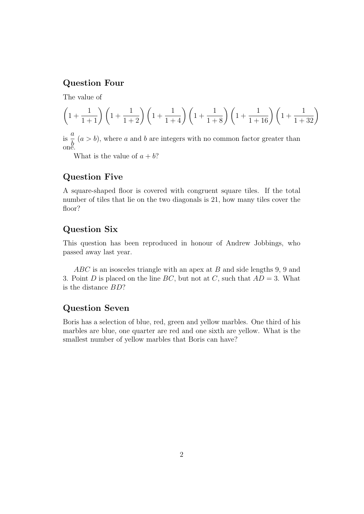#### Question Four

The value of

$$
\left(1+\frac{1}{1+1}\right)\left(1+\frac{1}{1+2}\right)\left(1+\frac{1}{1+4}\right)\left(1+\frac{1}{1+8}\right)\left(1+\frac{1}{1+16}\right)\left(1+\frac{1}{1+32}\right)
$$

is a b  $(a > b)$ , where a and b are integers with no common factor greater than one.

What is the value of  $a + b$ ?

#### Question Five

A square-shaped floor is covered with congruent square tiles. If the total number of tiles that lie on the two diagonals is 21, how many tiles cover the floor?

#### Question Six

This question has been reproduced in honour of Andrew Jobbings, who passed away last year.

ABC is an isosceles triangle with an apex at B and side lengths 9, 9 and 3. Point D is placed on the line BC, but not at C, such that  $AD = 3$ . What is the distance BD?

#### Question Seven

Boris has a selection of blue, red, green and yellow marbles. One third of his marbles are blue, one quarter are red and one sixth are yellow. What is the smallest number of yellow marbles that Boris can have?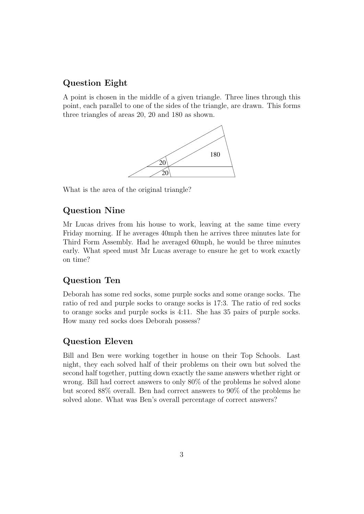## Question Eight

A point is chosen in the middle of a given triangle. Three lines through this point, each parallel to one of the sides of the triangle, are drawn. This forms three triangles of areas 20, 20 and 180 as shown.



What is the area of the original triangle?

#### Question Nine

Mr Lucas drives from his house to work, leaving at the same time every Friday morning. If he averages 40mph then he arrives three minutes late for Third Form Assembly. Had he averaged 60mph, he would be three minutes early. What speed must Mr Lucas average to ensure he get to work exactly on time?

#### Question Ten

Deborah has some red socks, some purple socks and some orange socks. The ratio of red and purple socks to orange socks is 17:3. The ratio of red socks to orange socks and purple socks is 4:11. She has 35 pairs of purple socks. How many red socks does Deborah possess?

#### Question Eleven

Bill and Ben were working together in house on their Top Schools. Last night, they each solved half of their problems on their own but solved the second half together, putting down exactly the same answers whether right or wrong. Bill had correct answers to only 80% of the problems he solved alone but scored 88% overall. Ben had correct answers to 90% of the problems he solved alone. What was Ben's overall percentage of correct answers?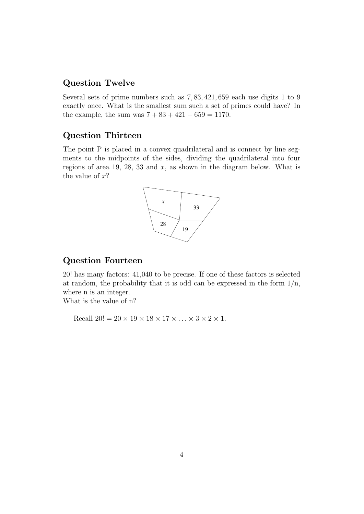## Question Twelve

Several sets of prime numbers such as 7, 83, 421, 659 each use digits 1 to 9 exactly once. What is the smallest sum such a set of primes could have? In the example, the sum was  $7 + 83 + 421 + 659 = 1170$ .

## Question Thirteen

The point P is placed in a convex quadrilateral and is connect by line segments to the midpoints of the sides, dividing the quadrilateral into four regions of area 19, 28, 33 and  $x$ , as shown in the diagram below. What is the value of  $x$ ?



## Question Fourteen

20! has many factors: 41,040 to be precise. If one of these factors is selected at random, the probability that it is odd can be expressed in the form  $1/n$ , where n is an integer.

What is the value of n?

Recall  $20! = 20 \times 19 \times 18 \times 17 \times \ldots \times 3 \times 2 \times 1$ .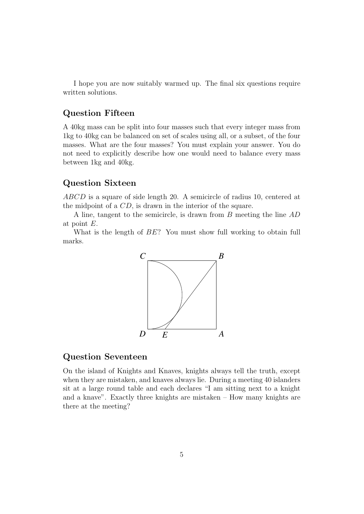I hope you are now suitably warmed up. The final six questions require written solutions.

#### Question Fifteen

A 40kg mass can be split into four masses such that every integer mass from 1kg to 40kg can be balanced on set of scales using all, or a subset, of the four masses. What are the four masses? You must explain your answer. You do not need to explicitly describe how one would need to balance every mass between 1kg and 40kg.

#### Question Sixteen

ABCD is a square of side length 20. A semicircle of radius 10, centered at the midpoint of a CD, is drawn in the interior of the square.

A line, tangent to the semicircle, is drawn from B meeting the line AD at point E.

What is the length of BE? You must show full working to obtain full marks.



#### Question Seventeen

On the island of Knights and Knaves, knights always tell the truth, except when they are mistaken, and knaves always lie. During a meeting 40 islanders sit at a large round table and each declares "I am sitting next to a knight and a knave". Exactly three knights are mistaken – How many knights are there at the meeting?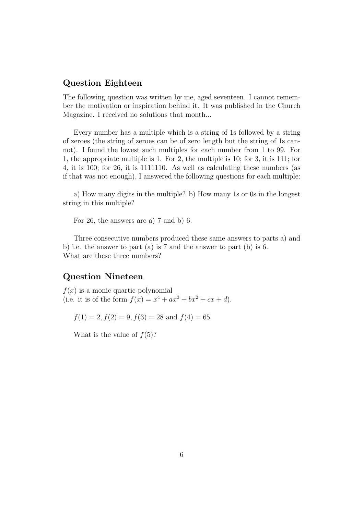#### Question Eighteen

The following question was written by me, aged seventeen. I cannot remember the motivation or inspiration behind it. It was published in the Church Magazine. I received no solutions that month...

Every number has a multiple which is a string of 1s followed by a string of zeroes (the string of zeroes can be of zero length but the string of 1s cannot). I found the lowest such multiples for each number from 1 to 99. For 1, the appropriate multiple is 1. For 2, the multiple is 10; for 3, it is 111; for 4, it is 100; for 26, it is 1111110. As well as calculating these numbers (as if that was not enough), I answered the following questions for each multiple:

a) How many digits in the multiple? b) How many 1s or 0s in the longest string in this multiple?

For 26, the answers are a) 7 and b) 6.

Three consecutive numbers produced these same answers to parts a) and b) i.e. the answer to part (a) is 7 and the answer to part (b) is 6. What are these three numbers?

#### Question Nineteen

 $f(x)$  is a monic quartic polynomial (i.e. it is of the form  $f(x) = x^4 + ax^3 + bx^2 + cx + d$ ).

 $f(1) = 2, f(2) = 9, f(3) = 28$  and  $f(4) = 65$ .

What is the value of  $f(5)$ ?